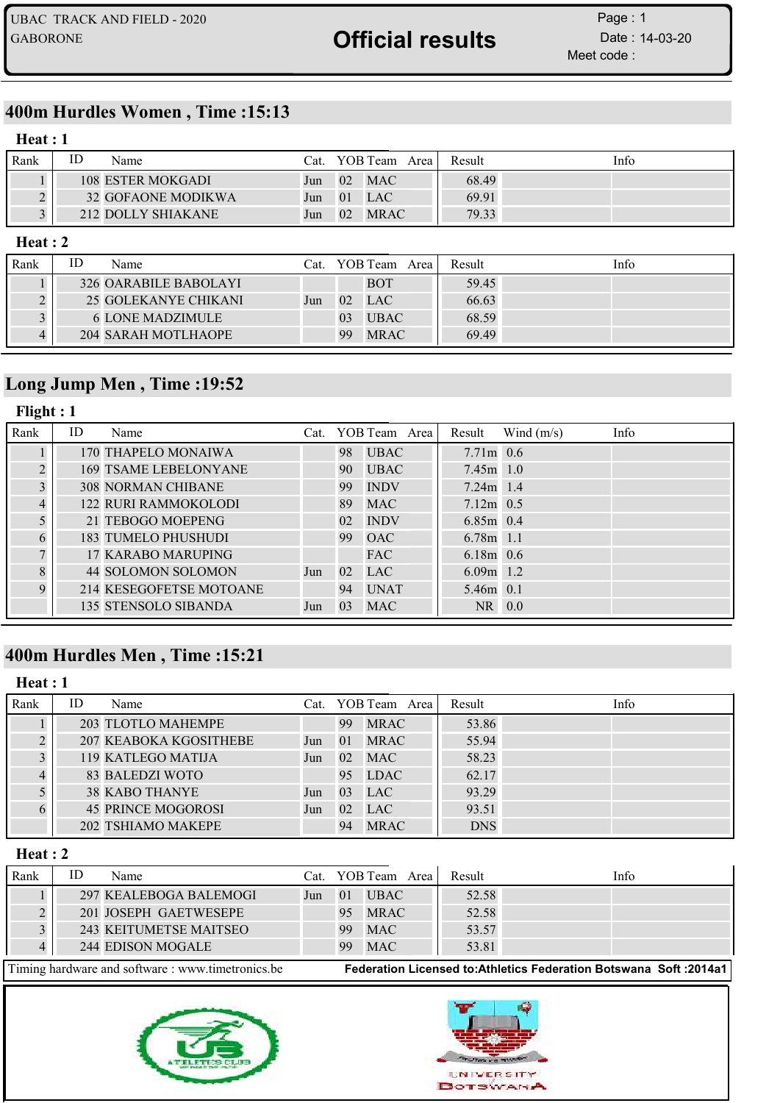## 400m Hurdles Women , Time :15:13

#### Heat : 1

| Rank | ID | Name               | Cat. |    | YOB Team Area         | Result | Info |
|------|----|--------------------|------|----|-----------------------|--------|------|
|      |    | 108 ESTER MOKGADI  | Jun  |    | $02 \quad \text{MAC}$ | 68.49  |      |
|      |    | 32 GOFAONE MODIKWA | Jun  |    | $01$ LAC              | 69.91  |      |
|      |    | 212 DOLLY SHIAKANE | Jun  | 02 | <b>MRAC</b>           | 79.33  |      |

#### Heat : 2

| Rank | ΙD | Name                    | Cat. |    | YOB Team Area | Result | Info |
|------|----|-------------------------|------|----|---------------|--------|------|
|      |    | 326 OARABILE BABOLAYI   |      |    | <b>BOT</b>    | 59.45  |      |
|      |    | 25 GOLEKANYE CHIKANI    | Jun  | 02 | <b>LAC</b>    | 66.63  |      |
|      |    | <b>6 LONE MADZIMULE</b> |      | 03 | <b>UBAC</b>   | 68.59  |      |
|      |    | 204 SARAH MOTLHAOPE     |      | 99 | <b>MRAC</b>   | 69.49  |      |

## Long Jump Men , Time :19:52

### Flight : 1

| Rank        | ID | Name                         |     |    | Cat. YOB Team Area | Result      | Wind $(m/s)$ | Info |
|-------------|----|------------------------------|-----|----|--------------------|-------------|--------------|------|
|             |    | 170 THAPELO MONAIWA          |     | 98 | <b>UBAC</b>        | $7.71m$ 0.6 |              |      |
| $\bigcap$   |    | <b>169 TSAME LEBELONYANE</b> |     | 90 | <b>UBAC</b>        | $7.45m$ 1.0 |              |      |
|             |    | <b>308 NORMAN CHIBANE</b>    |     | 99 | <b>INDV</b>        | $7.24m$ 1.4 |              |      |
|             |    | <b>122 RURI RAMMOKOLODI</b>  |     | 89 | <b>MAC</b>         | $7.12m$ 0.5 |              |      |
|             |    | 21 TEBOGO MOEPENG            |     | 02 | <b>INDV</b>        | $6.85m$ 0.4 |              |      |
|             |    | <b>183 TUMELO PHUSHUDI</b>   |     | 99 | <b>OAC</b>         | $6.78m$ 1.1 |              |      |
|             |    | <b>17 KARABO MARUPING</b>    |     |    | FAC                | $6.18m$ 0.6 |              |      |
| 8           |    | 44 SOLOMON SOLOMON           | Jun | 02 | <b>LAC</b>         | $6.09m$ 1.2 |              |      |
| $\mathbf Q$ |    | 214 KESEGOFETSE MOTOANE      |     | 94 | <b>UNAT</b>        | 5.46m 0.1   |              |      |
|             |    | 135 STENSOLO SIBANDA         | Jun | 03 | <b>MAC</b>         | NR 0.0      |              |      |

## 400m Hurdles Men , Time :15:21

#### Heat : 1

| Rank | ID | Name                      |     |     | Cat. YOB Team Area | Result     | Info |
|------|----|---------------------------|-----|-----|--------------------|------------|------|
|      |    | 203 TLOTLO MAHEMPE        |     | 99  | <b>MRAC</b>        | 53.86      |      |
|      |    | 207 KEABOKA KGOSITHEBE    | Jun | -01 | <b>MRAC</b>        | 55.94      |      |
|      |    | 119 KATLEGO MATIJA        | Jun | 02  | <b>MAC</b>         | 58.23      |      |
|      |    | 83 BALEDZI WOTO           |     | 95  | LDAC               | 62.17      |      |
|      |    | <b>38 KABO THANYE</b>     | Jun | 03  | <b>LAC</b>         | 93.29      |      |
|      |    | <b>45 PRINCE MOGOROSI</b> | Jun | 02  | <b>LAC</b>         | 93.51      |      |
|      |    | 202 TSHIAMO MAKEPE        |     | 94  | <b>MRAC</b>        | <b>DNS</b> |      |

#### Heat : 2

| Rank | Name                   | Cat. |    | YOB Team Area | Result | Info |
|------|------------------------|------|----|---------------|--------|------|
|      | 297 KEALEBOGA BALEMOGI | Jun  | 01 | <b>UBAC</b>   | 52.58  |      |
|      | 201 JOSEPH GAETWESEPE  |      | 95 | <b>MRAC</b>   | 52.58  |      |
|      | 243 KEITUMETSE MAITSEO |      | 99 | <b>MAC</b>    | 53.57  |      |
|      | 244 EDISON MOGALE      |      | 99 | <b>MAC</b>    | 53.81  |      |
| $-1$ | $\sim$ $\sim$          |      |    |               | .      | .    |



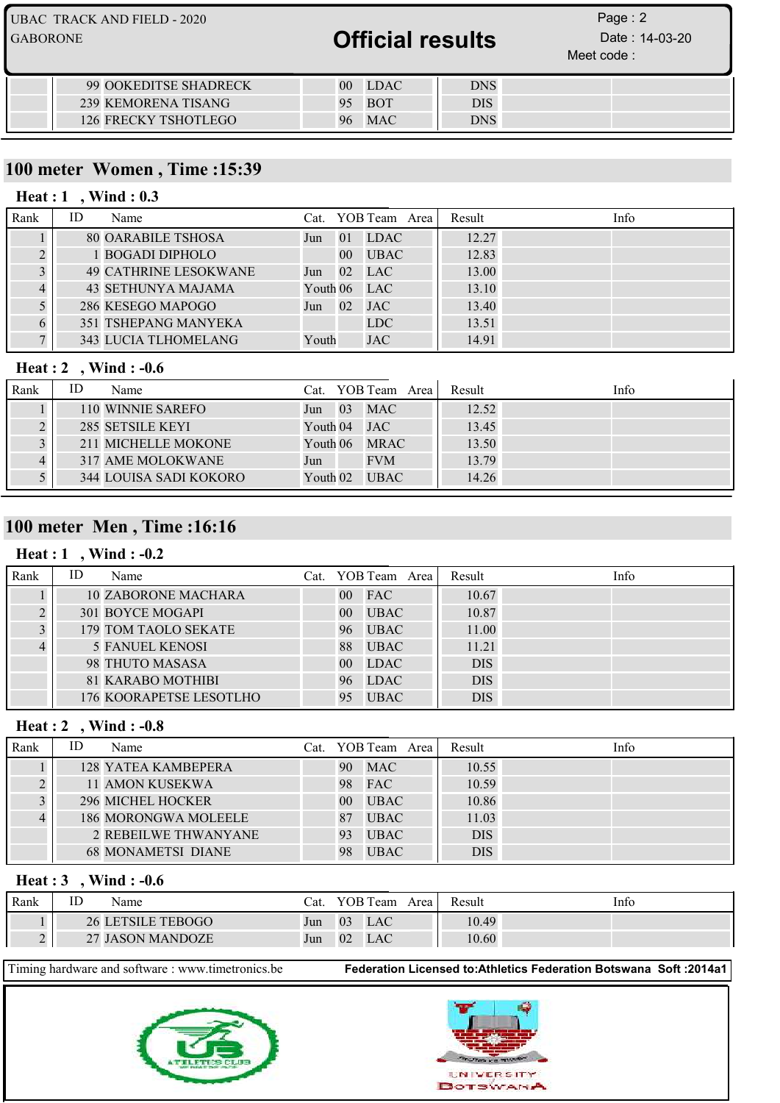| UBAC TRACK AND FIELD - 2020<br><b>GABORONE</b> | <b>Official results</b>        |            | Page: $2$<br>Date: 14-03-20<br>Meet code: |  |
|------------------------------------------------|--------------------------------|------------|-------------------------------------------|--|
| 99 OOKEDITSE SHADRECK                          | <b>LDAC</b><br>00 <sup>1</sup> | <b>DNS</b> |                                           |  |
| 239 KEMORENA TISANG                            | <b>BOT</b><br>95               | <b>DIS</b> |                                           |  |
| 126 FRECKY TSHOTLEGO                           | <b>MAC</b>                     | <b>DNS</b> |                                           |  |

## 100 meter Women , Time :15:39

#### Heat : 1, Wind : 0.3

| Rank | ID | Name                         |          |                 | Cat. YOB Team Area | Result | Info |
|------|----|------------------------------|----------|-----------------|--------------------|--------|------|
|      |    | <b>80 OARABILE TSHOSA</b>    | Jun      | 01              | <b>LDAC</b>        | 12.27  |      |
|      |    | 1 BOGADI DIPHOLO             |          | 00 <sup>1</sup> | <b>UBAC</b>        | 12.83  |      |
|      |    | <b>49 CATHRINE LESOKWANE</b> | Jun      | 02 <sup>2</sup> | <b>LAC</b>         | 13.00  |      |
|      |    | 43 SETHUNYA MAJAMA           | Youth 06 |                 | <b>LAC</b>         | 13.10  |      |
|      |    | 286 KESEGO MAPOGO            | Jun      | 02              | <b>JAC</b>         | 13.40  |      |
|      |    | 351 TSHEPANG MANYEKA         |          |                 | <b>LDC</b>         | 13.51  |      |
|      |    | 343 LUCIA TLHOMELANG         | Youth    |                 | <b>JAC</b>         | 14.91  |      |

## Heat : 2 , Wind : -0.6

| Rank | ID | Name                   |          |    | Cat. YOB Team Area | Result | Info |
|------|----|------------------------|----------|----|--------------------|--------|------|
|      |    | 110 WINNIE SAREFO      | Jun      | 03 | <b>MAC</b>         | 12.52  |      |
|      |    | 285 SETSILE KEYI       |          |    | Youth 04 JAC       | 13.45  |      |
|      |    | 211 MICHELLE MOKONE    | Youth 06 |    | <b>MRAC</b>        | 13.50  |      |
|      |    | 317 AME MOLOKWANE      | Jun      |    | <b>FVM</b>         | 13.79  |      |
|      |    | 344 LOUISA SADI KOKORO | Youth 02 |    | <b>UBAC</b>        | 14.26  |      |

## 100 meter Men , Time :16:16

## Heat : 1, Wind : -0.2

| Rank | ID | Name                       |                 | Cat. YOB Team Area | Result     | Info |
|------|----|----------------------------|-----------------|--------------------|------------|------|
|      |    | <b>10 ZABORONE MACHARA</b> | 00 <sup>1</sup> | <b>FAC</b>         | 10.67      |      |
|      |    | 301 BOYCE MOGAPI           | 00 <sup>°</sup> | <b>UBAC</b>        | 10.87      |      |
|      |    | 179 TOM TAOLO SEKATE       | 96              | <b>UBAC</b>        | 11.00      |      |
|      |    | <b>5 FANUEL KENOSI</b>     | 88              | <b>UBAC</b>        | 11.21      |      |
|      |    | 98 THUTO MASASA            | 00 <sup>°</sup> | <b>LDAC</b>        | <b>DIS</b> |      |
|      |    | <b>81 KARABO MOTHIBI</b>   | 96              | <b>LDAC</b>        | <b>DIS</b> |      |
|      |    | 176 KOORAPETSE LESOTLHO    | 95              | <b>UBAC</b>        | <b>DIS</b> |      |

#### Heat : 2, Wind : -0.8

| Rank | ID | Name                      | Cat. YOB Team Area |             | Result | Info       |  |
|------|----|---------------------------|--------------------|-------------|--------|------------|--|
|      |    | 128 YATEA KAMBEPERA       | 90                 | <b>MAC</b>  |        | 10.55      |  |
|      |    | 11 AMON KUSEKWA           | 98                 | <b>FAC</b>  |        | 10.59      |  |
|      |    | <b>296 MICHEL HOCKER</b>  | 00 <sup>1</sup>    | <b>UBAC</b> |        | 10.86      |  |
|      |    | 186 MORONGWA MOLEELE      | 87                 | <b>UBAC</b> |        | 11.03      |  |
|      |    | 2 REBEILWE THWANYANE      | 93                 | <b>UBAC</b> |        | <b>DIS</b> |  |
|      |    | <b>68 MONAMETSI DIANE</b> | 98                 | <b>UBAC</b> |        | <b>DIS</b> |  |

#### Heat : 3 , Wind : -0.6

| Rank | ΙU | Name                     | Cat. |    | YOB Team | Area | Result | Info |
|------|----|--------------------------|------|----|----------|------|--------|------|
|      |    | <b>26 LETSILE TEBOGO</b> | Jun  | 03 | LAC      |      | 10.49  |      |
|      |    | 27 JASON MANDOZE         | Jun  | 02 | LAC      |      | 10.60  |      |



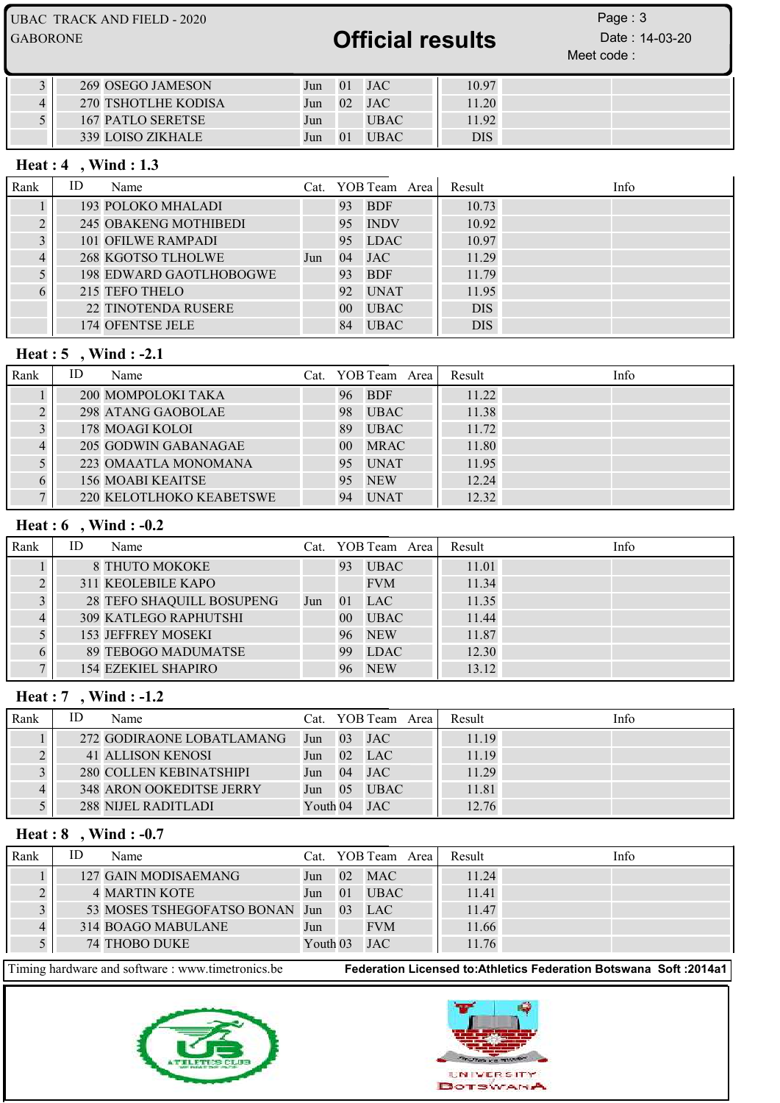UBAC TRACK AND FIELD - 2020 GABORONE **CABORONE CABORONE CABORONE CABORONE CABORONE CABORONE CABORONE** Meet code : Page: 3

| 269 OSEGO JAMESON   | Jun | $\overline{01}$ | JAC         | 10.97      |  |
|---------------------|-----|-----------------|-------------|------------|--|
| 270 TSHOTLHE KODISA | Jun | $\sqrt{02}$     | <b>JAC</b>  | 11.20      |  |
| 167 PATLO SERETSE   | Jun |                 | <b>UBAC</b> | 11.92      |  |
| 339 LOISO ZIKHALE   | Jun | $\overline{0}$  | <b>UBAC</b> | <b>DIS</b> |  |

#### Heat : 4 , Wind : 1.3

| Rank | ID | Name                         |     |                 | Cat. YOB Team Area |  | Result     | Info |
|------|----|------------------------------|-----|-----------------|--------------------|--|------------|------|
|      |    | 193 POLOKO MHALADI           |     | 93              | <b>BDF</b>         |  | 10.73      |      |
|      |    | <b>245 OBAKENG MOTHIBEDI</b> |     | 95              | <b>INDV</b>        |  | 10.92      |      |
|      |    | 101 OFILWE RAMPADI           |     | 95              | <b>LDAC</b>        |  | 10.97      |      |
|      |    | <b>268 KGOTSO TLHOLWE</b>    | Jun | 04              | <b>JAC</b>         |  | 11.29      |      |
|      |    | 198 EDWARD GAOTLHOBOGWE      |     | 93              | <b>BDF</b>         |  | 11.79      |      |
|      |    | 215 TEFO THELO               |     | 92              | <b>UNAT</b>        |  | 11.95      |      |
|      |    | <b>22 TINOTENDA RUSERE</b>   |     | 00 <sup>°</sup> | <b>UBAC</b>        |  | <b>DIS</b> |      |
|      |    | 174 OFENTSE JELE             |     | 84              | <b>UBAC</b>        |  | <b>DIS</b> |      |

#### Heat : 5 , Wind : -2.1

| Rank | ID | Name                     |        | Cat. YOB Team Area | Result | Info |
|------|----|--------------------------|--------|--------------------|--------|------|
|      |    | 200 MOMPOLOKI TAKA       | 96     | <b>BDF</b>         | 11.22  |      |
|      |    | 298 ATANG GAOBOLAE       | 98     | <b>UBAC</b>        | 11.38  |      |
|      |    | 178 MOAGI KOLOI          | 89     | <b>UBAC</b>        | 11.72  |      |
|      |    | 205 GODWIN GABANAGAE     | $00\,$ | <b>MRAC</b>        | 11.80  |      |
|      |    | 223 OMAATLA MONOMANA     | 95     | <b>UNAT</b>        | 11.95  |      |
|      |    | <b>156 MOABI KEAITSE</b> | 95     | <b>NEW</b>         | 12.24  |      |
|      |    | 220 KELOTLHOKO KEABETSWE | 94     | <b>UNAT</b>        | 12.32  |      |

### Heat : 6 , Wind : -0.2

| Rank | ID | Name                         |     |                 | Cat. YOB Team Area | Result | Info |
|------|----|------------------------------|-----|-----------------|--------------------|--------|------|
|      |    | 8 THUTO MOKOKE               |     | 93              | <b>UBAC</b>        | 11.01  |      |
|      |    | <b>311 KEOLEBILE KAPO</b>    |     |                 | <b>FVM</b>         | 11.34  |      |
|      |    | 28 TEFO SHAQUILL BOSUPENG    | Jun | 01              | LAC                | 11.35  |      |
|      |    | <b>309 KATLEGO RAPHUTSHI</b> |     | 00 <sup>°</sup> | <b>UBAC</b>        | 11.44  |      |
|      |    | <b>153 JEFFREY MOSEKI</b>    |     |                 | 96 NEW             | 11.87  |      |
|      |    | 89 TEBOGO MADUMATSE          |     | 99              | <b>LDAC</b>        | 12.30  |      |
|      |    | <b>154 EZEKIEL SHAPIRO</b>   |     |                 | 96 NEW             | 13.12  |      |

### Heat : 7 , Wind : -1.2

| Rank | ID | Name                            |          |                  | Cat. YOB Team Area | Result | Info |
|------|----|---------------------------------|----------|------------------|--------------------|--------|------|
|      |    | 272 GODIRAONE LOBATLAMANG       | Jun      | $\sim 03$        | JAC                | 11.19  |      |
|      |    | 41 ALLISON KENOSI               | Jun      | 02               | <b>LAC</b>         | 11.19  |      |
|      |    | 280 COLLEN KEBINATSHIPI         | Jun $04$ |                  | <b>JAC</b>         | 11.29  |      |
|      |    | <b>348 ARON OOKEDITSE JERRY</b> | Jun      | $\Box$ 05 $\Box$ | <b>UBAC</b>        | 11.81  |      |
|      |    | 288 NIJEL RADITLADI             | Youth 04 |                  | <b>JAC</b>         | 12.76  |      |

#### Heat : 8 , Wind : -0.7

| Rank | ID | Name                           |          |             | Cat. YOB Team Area | Result | Info |
|------|----|--------------------------------|----------|-------------|--------------------|--------|------|
|      |    | 127 GAIN MODISAEMANG           | Jun      | 02          | <b>MAC</b>         | 11.24  |      |
|      |    | <b>4 MARTIN KOTE</b>           | Jun      | 01          | <b>UBAC</b>        | 11.41  |      |
|      |    | 53 MOSES TSHEGOFATSO BONAN Jun |          | $\sqrt{03}$ | <b>LAC</b>         | 11.47  |      |
|      |    | 314 BOAGO MABULANE             | Jun      |             | <b>FVM</b>         | 11.66  |      |
|      |    | 74 THOBO DUKE                  | Youth 03 |             | <b>JAC</b>         | 11.76  |      |



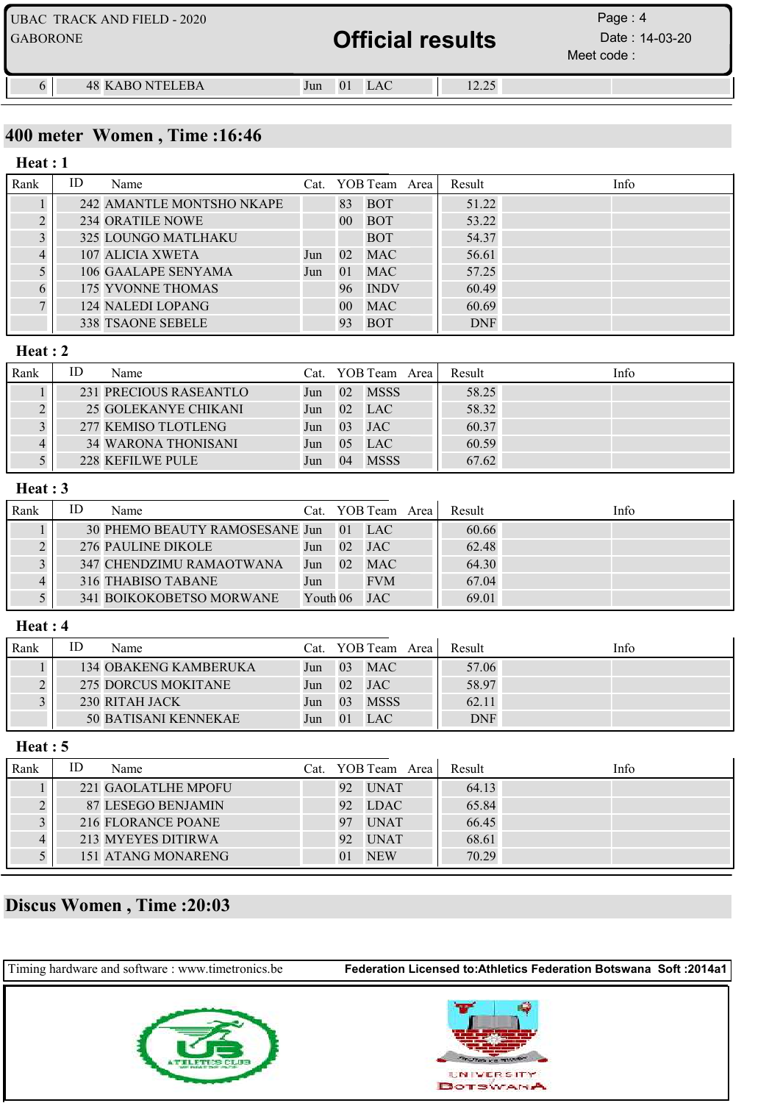| <b>GABORONE</b> | UBAC TRACK AND FIELD - 2020 |     | <b>Official results</b> |       | Page: $4$<br>Date : 14-03-20<br>Meet code: |
|-----------------|-----------------------------|-----|-------------------------|-------|--------------------------------------------|
|                 | <b>48 KABO NTELEBA</b>      | Jun | <b>LAC</b><br>$\Omega$  | 12.25 |                                            |

### 400 meter Women , Time :16:46

#### Rank ID Name Cat. YOB Team Area Result Info Heat : 1 1 242 AMANTLE MONTSHO NKAPE 83 BOT 51.22 2 234 ORATILE NOWE 00 BOT 53.22 3 325 LOUNGO MATLHAKU BOT 54.37 4 107 ALICIA XWETA Jun 02 MAC 56.61 5 106 GAALAPE SENYAMA Jun 01 MAC 57.25 6 175 YVONNE THOMAS 96 INDV 60.49 7 124 NALEDI LOPANG 00 MAC 60.69 338 TSAONE SEBELE 93 BOT DNF

#### Heat : 2

| Rank | ID | Name                       |     |                | Cat. YOB Team Area | Result | Info |  |
|------|----|----------------------------|-----|----------------|--------------------|--------|------|--|
|      |    | 231 PRECIOUS RASEANTLO     | Jun | 02             | <b>MSSS</b>        | 58.25  |      |  |
|      |    | 25 GOLEKANYE CHIKANI       | Jun | 02             | <b>LAC</b>         | 58.32  |      |  |
|      |    | 277 KEMISO TLOTLENG        | Jun | 0 <sup>3</sup> | <b>JAC</b>         | 60.37  |      |  |
|      |    | <b>34 WARONA THONISANI</b> | Jun | 05             | <b>LAC</b>         | 60.59  |      |  |
|      |    | 228 KEFILWE PULE           | Jun | 04             | <b>MSSS</b>        | 67.62  |      |  |

#### Heat : 3

| Rank | ID | Name                              |          |                 | Cat. YOB Team Area | Result | Info |
|------|----|-----------------------------------|----------|-----------------|--------------------|--------|------|
|      |    | 30 PHEMO BEAUTY RAMOSESANE Jun 01 |          |                 | LAC                | 60.66  |      |
|      |    | 276 PAULINE DIKOLE                | Jun      | 02 <sub>z</sub> | JAC                | 62.48  |      |
|      |    | 347 CHENDZIMU RAMAOTWANA          | Jun      | 02 <sup>2</sup> | <b>MAC</b>         | 64.30  |      |
|      |    | 316 THABISO TABANE                | Jun      |                 | <b>FVM</b>         | 67.04  |      |
|      |    | 341 BOIKOKOBETSO MORWANE          | Youth 06 |                 | JAC                | 69.01  |      |

#### Heat : 4

| Rank | ID | Name                         | Cat. |                 | YOB Team Area I | Result     | Info |
|------|----|------------------------------|------|-----------------|-----------------|------------|------|
|      |    | <b>134 OBAKENG KAMBERUKA</b> | Jun  | 03 <sup>°</sup> | <b>MAC</b>      | 57.06      |      |
|      |    | 275 DORCUS MOKITANE          | Jun  | 02              | <b>JAC</b>      | 58.97      |      |
|      |    | 230 RITAH JACK               | Jun  | 03              | <b>MSSS</b>     | 62.11      |      |
|      |    | 50 BATISANI KENNEKAE         | Jun  | 01              | <b>LAC</b>      | <b>DNF</b> |      |

#### Heat : 5

| Rank | ΙD<br>Name          | Cat. YOB Team Area | Result | Info |
|------|---------------------|--------------------|--------|------|
|      | 221 GAOLATLHE MPOFU | <b>UNAT</b><br>92  | 64.13  |      |
| 2    | 87 LESEGO BENJAMIN  | <b>LDAC</b><br>92  | 65.84  |      |
|      | 216 FLORANCE POANE  | <b>UNAT</b><br>97  | 66.45  |      |
|      | 213 MYEYES DITIRWA  | <b>UNAT</b><br>92  | 68.61  |      |
|      | 151 ATANG MONARENG  | <b>NEW</b><br>01   | 70.29  |      |

## Discus Women , Time :20:03

| Timing hardware and software : www.timetronics.be | Federation Licensed to: Athletics Federation Botswana Soft: 2014a1 |
|---------------------------------------------------|--------------------------------------------------------------------|
|                                                   | UNIVERSITY<br><b>BOTSWANA</b>                                      |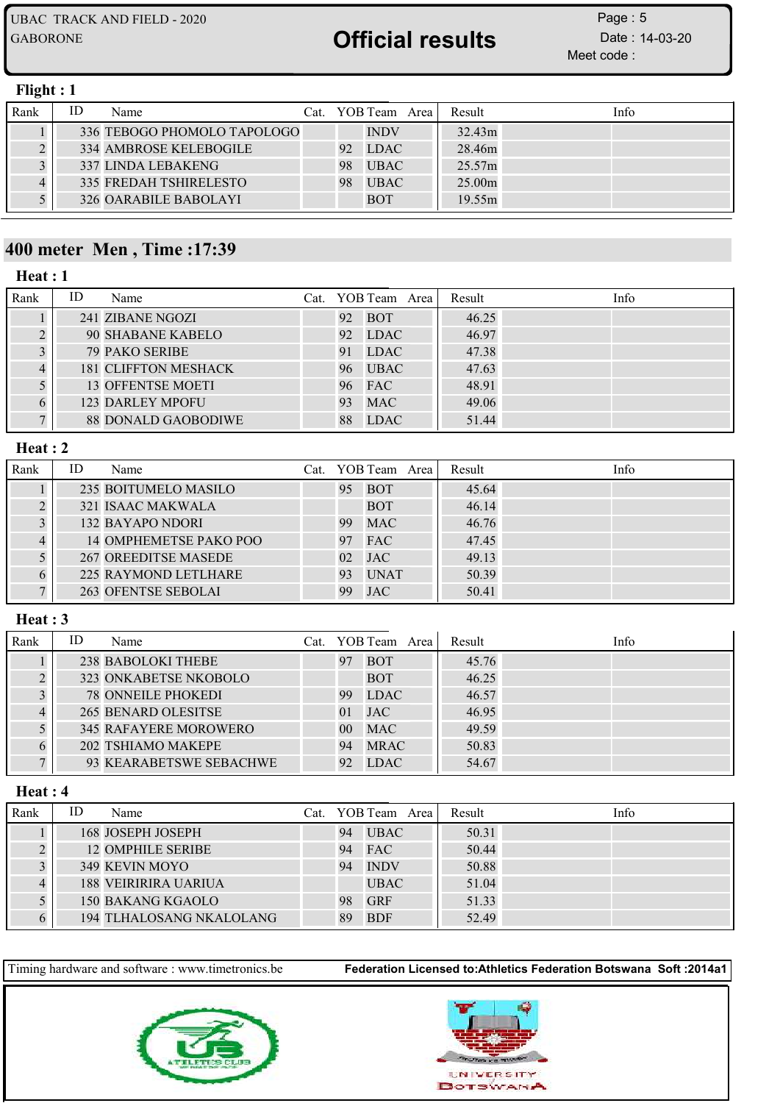Meet code : Page: 5

#### Flight : 1

| Rank | ID | Name                          |    | Cat. YOB Team Area I | Result | Info |
|------|----|-------------------------------|----|----------------------|--------|------|
|      |    | 336 TEBOGO PHOMOLO TAPOLOGO   |    | <b>INDV</b>          | 32.43m |      |
|      |    | <b>334 AMBROSE KELEBOGILE</b> | 92 | <b>LDAC</b>          | 28.46m |      |
|      |    | <b>337 LINDA LEBAKENG</b>     | 98 | <b>UBAC</b>          | 25.57m |      |
|      |    | <b>335 FREDAH TSHIRELESTO</b> | 98 | <b>UBAC</b>          | 25.00m |      |
|      |    | 326 OARABILE BABOLAYI         |    | <b>BOT</b>           | 19.55m |      |

## 400 meter Men , Time :17:39

#### Heat : 1

| Rank | ID | Name                       |    | Cat. YOB Team Area | Result | Info |
|------|----|----------------------------|----|--------------------|--------|------|
|      |    | 241 ZIBANE NGOZI           | 92 | <b>BOT</b>         | 46.25  |      |
|      |    | 90 SHABANE KABELO          | 92 | LDAC               | 46.97  |      |
|      |    | <b>79 PAKO SERIBE</b>      | 91 | LDAC               | 47.38  |      |
|      |    | 181 CLIFFTON MESHACK       | 96 | <b>UBAC</b>        | 47.63  |      |
|      |    | <b>13 OFFENTSE MOETI</b>   | 96 | <b>FAC</b>         | 48.91  |      |
|      |    | <b>123 DARLEY MPOFU</b>    | 93 | <b>MAC</b>         | 49.06  |      |
|      |    | <b>88 DONALD GAOBODIWE</b> | 88 | LDAC               | 51.44  |      |

#### Heat : 2

| Rank | ID | Name                    |     | Cat. YOB Team Area | Result | Info |
|------|----|-------------------------|-----|--------------------|--------|------|
|      |    | 235 BOITUMELO MASILO    | 95  | <b>BOT</b>         | 45.64  |      |
|      |    | 321 ISAAC MAKWALA       |     | <b>BOT</b>         | 46.14  |      |
|      |    | <b>132 BAYAPO NDORI</b> | 99  | <b>MAC</b>         | 46.76  |      |
|      |    | 14 OMPHEMETSE PAKO POO  | 97  | <b>FAC</b>         | 47.45  |      |
|      |    | 267 OREEDITSE MASEDE    | 02. | <b>JAC</b>         | 49.13  |      |
|      |    | 225 RAYMOND LETLHARE    | 93  | <b>UNAT</b>        | 50.39  |      |
|      |    | 263 OFENTSE SEBOLAI     | 99  | <b>JAC</b>         | 50.41  |      |

#### Heat : 3

| Rank | ID | Name                         |                 | Cat. YOB Team Area | Result | Info |
|------|----|------------------------------|-----------------|--------------------|--------|------|
|      |    | 238 BABOLOKI THEBE           | 97              | <b>BOT</b>         | 45.76  |      |
|      |    | 323 ONKABETSE NKOBOLO        |                 | <b>BOT</b>         | 46.25  |      |
|      |    | <b>78 ONNEILE PHOKEDI</b>    | 99              | LDAC               | 46.57  |      |
|      |    | 265 BENARD OLESITSE          | 01              | <b>JAC</b>         | 46.95  |      |
|      |    | <b>345 RAFAYERE MOROWERO</b> | 00 <sup>1</sup> | <b>MAC</b>         | 49.59  |      |
|      |    | 202 TSHIAMO MAKEPE           | 94              | <b>MRAC</b>        | 50.83  |      |
|      |    | 93 KEARABETSWE SEBACHWE      | 92              | <b>LDAC</b>        | 54.67  |      |

#### Heat : 4

| Rank | ID | Name                        |    | Cat. YOB Team Area | Result | Info |
|------|----|-----------------------------|----|--------------------|--------|------|
|      |    | 168 JOSEPH JOSEPH           | 94 | <b>UBAC</b>        | 50.31  |      |
|      |    | 12 OMPHILE SERIBE           | 94 | <b>FAC</b>         | 50.44  |      |
|      |    | 349 KEVIN MOYO              | 94 | <b>INDV</b>        | 50.88  |      |
|      |    | <b>188 VEIRIRIRA UARIUA</b> |    | <b>UBAC</b>        | 51.04  |      |
|      |    | 150 BAKANG KGAOLO           | 98 | <b>GRF</b>         | 51.33  |      |
|      |    | 194 TLHALOSANG NKALOLANG    | 89 | <b>BDF</b>         | 52.49  |      |



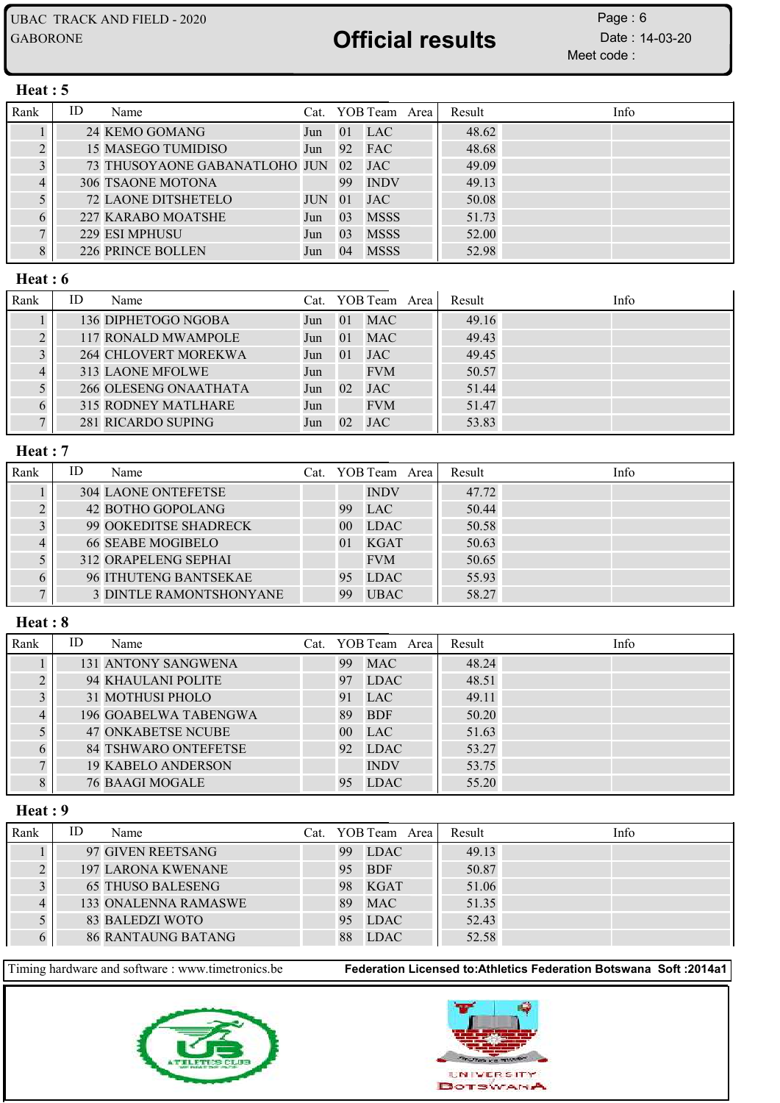Meet code : Page: 6

#### Heat : 5

| Rank      | ID | Name                          |            |                 | Cat. YOB Team Area | Result | Info |
|-----------|----|-------------------------------|------------|-----------------|--------------------|--------|------|
|           |    | 24 KEMO GOMANG                | Jun        |                 | $01$ LAC           | 48.62  |      |
| $\bigcap$ |    | 15 MASEGO TUMIDISO            | Jun        |                 | 92 FAC             | 48.68  |      |
|           |    | 73 THUSOYAONE GABANATLOHO JUN |            | 02              | <b>JAC</b>         | 49.09  |      |
| 4         |    | <b>306 TSAONE MOTONA</b>      |            | 99              | <b>INDV</b>        | 49.13  |      |
|           |    | <b>72 LAONE DITSHETELO</b>    | <b>JUN</b> | $\overline{01}$ | <b>JAC</b>         | 50.08  |      |
|           |    | 227 KARABO MOATSHE            | Jun        | 03              | <b>MSSS</b>        | 51.73  |      |
|           |    | 229 ESI MPHUSU                | Jun        | 03              | <b>MSSS</b>        | 52.00  |      |
|           |    | 226 PRINCE BOLLEN             | Jun        | 04              | <b>MSSS</b>        | 52.98  |      |

### Heat : 6

| Rank | ID | Name                       |     |                 | Cat. YOB Team Area | Result | Info |  |
|------|----|----------------------------|-----|-----------------|--------------------|--------|------|--|
|      |    | 136 DIPHETOGO NGOBA        | Jun | 01              | <b>MAC</b>         | 49.16  |      |  |
|      |    | 117 RONALD MWAMPOLE        | Jun | 01              | <b>MAC</b>         | 49.43  |      |  |
|      |    | 264 CHLOVERT MOREKWA       | Jun | 01              | <b>JAC</b>         | 49.45  |      |  |
|      |    | 313 LAONE MFOLWE           | Jun |                 | <b>FVM</b>         | 50.57  |      |  |
|      |    | 266 OLESENG ONAATHATA      | Jun | 02 <sub>1</sub> | <b>JAC</b>         | 51.44  |      |  |
|      |    | <b>315 RODNEY MATLHARE</b> | Jun |                 | <b>FVM</b>         | 51.47  |      |  |
|      |    | 281 RICARDO SUPING         | Jun | 02 <sup>2</sup> | <b>JAC</b>         | 53.83  |      |  |

#### Heat : 7

| Rank | ID | Name                           |                 | Cat. YOB Team Area | Result | Info |
|------|----|--------------------------------|-----------------|--------------------|--------|------|
|      |    | <b>304 LAONE ONTEFETSE</b>     |                 | <b>INDV</b>        | 47.72  |      |
|      |    | 42 BOTHO GOPOLANG              | 99              | <b>LAC</b>         | 50.44  |      |
|      |    | 99 OOKEDITSE SHADRECK          | 00 <sup>1</sup> | <b>LDAC</b>        | 50.58  |      |
|      |    | <b>66 SEABE MOGIBELO</b>       | 0 <sup>1</sup>  | <b>KGAT</b>        | 50.63  |      |
|      |    | 312 ORAPELENG SEPHAI           |                 | <b>FVM</b>         | 50.65  |      |
|      |    | 96 ITHUTENG BANTSEKAE          | 95              | <b>LDAC</b>        | 55.93  |      |
|      |    | <b>3 DINTLE RAMONTSHONYANE</b> | 99              | <b>UBAC</b>        | 58.27  |      |

#### Heat : 8

| Rank | ID | Name                        |                | Cat. YOB Team Area | Result | Info |
|------|----|-----------------------------|----------------|--------------------|--------|------|
|      |    | <b>131 ANTONY SANGWENA</b>  | 99             | <b>MAC</b>         | 48.24  |      |
|      |    | 94 KHAULANI POLITE          | 97             | <b>LDAC</b>        | 48.51  |      |
|      |    | 31 MOTHUSI PHOLO            | 91             | <b>LAC</b>         | 49.11  |      |
|      |    | 196 GOABELWA TABENGWA       | 89             | <b>BDF</b>         | 50.20  |      |
|      |    | <b>47 ONKABETSE NCUBE</b>   | 0 <sup>0</sup> | LAC                | 51.63  |      |
|      |    | <b>84 TSHWARO ONTEFETSE</b> | 92.            | <b>LDAC</b>        | 53.27  |      |
|      |    | <b>19 KABELO ANDERSON</b>   |                | <b>INDV</b>        | 53.75  |      |
|      |    | <b>76 BAAGI MOGALE</b>      | 95             | <b>LDAC</b>        | 55.20  |      |

#### Heat : 9

| Rank | ID | Name                      |    | Cat. YOB Team Area | Result | Info |
|------|----|---------------------------|----|--------------------|--------|------|
|      |    | 97 GIVEN REETSANG         | 99 | <b>LDAC</b>        | 49.13  |      |
|      |    | <b>197 LARONA KWENANE</b> | 95 | <b>BDF</b>         | 50.87  |      |
|      |    | <b>65 THUSO BALESENG</b>  | 98 | <b>KGAT</b>        | 51.06  |      |
|      |    | 133 ONALENNA RAMASWE      | 89 | <b>MAC</b>         | 51.35  |      |
|      |    | 83 BALEDZI WOTO           | 95 | LDAC               | 52.43  |      |
|      |    | <b>86 RANTAUNG BATANG</b> | 88 | <b>LDAC</b>        | 52.58  |      |



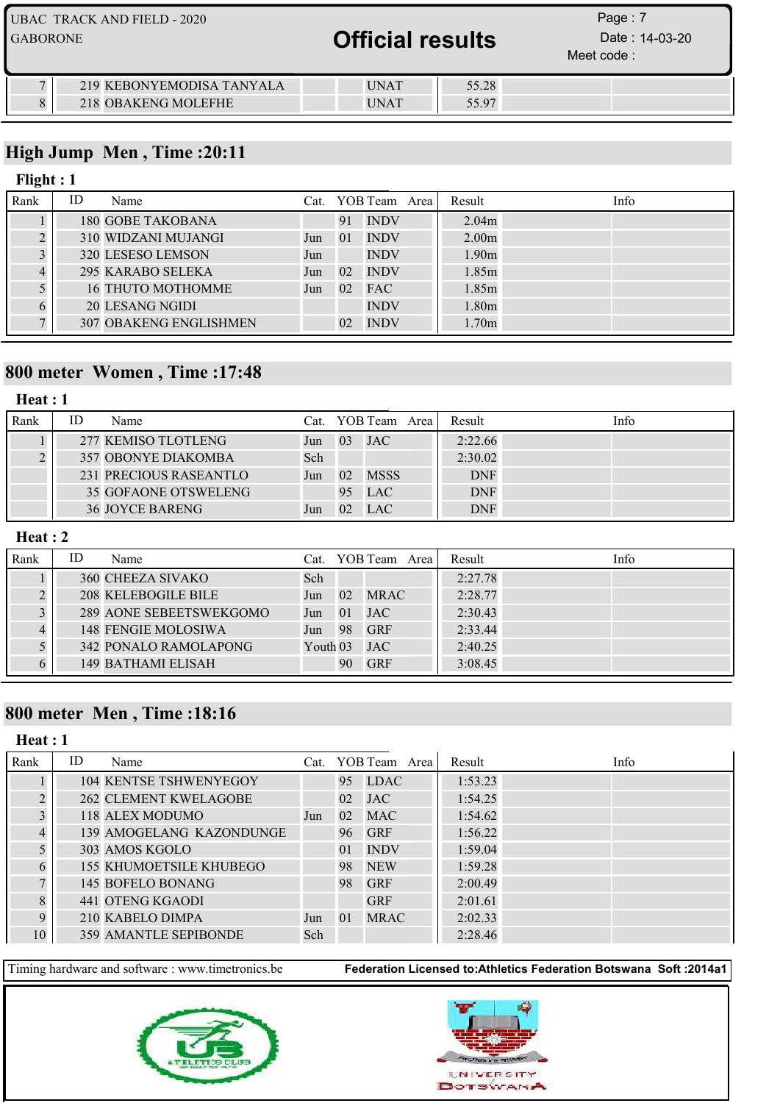|                 | <b>UBAC TRACK AND FIELD - 2020</b>               |                            |                | Page: 7                      |  |
|-----------------|--------------------------------------------------|----------------------------|----------------|------------------------------|--|
| <b>GABORONE</b> |                                                  | <b>Official results</b>    |                | Date: 14-03-20<br>Meet code: |  |
|                 | 219 KEBONYEMODISA TANYALA<br>218 OBAKENG MOLEFHE | <b>UNAT</b><br><b>UNAT</b> | 55.28<br>55.97 |                              |  |

## High Jump Men , Time :20:11

### Flight : 1

| Rank | ID | Name                          |     |                 | Cat. YOB Team Area | Result            | Info |
|------|----|-------------------------------|-----|-----------------|--------------------|-------------------|------|
|      |    | <b>180 GOBE TAKOBANA</b>      |     | 91              | <b>INDV</b>        | 2.04 <sub>m</sub> |      |
|      |    | 310 WIDZANI MUJANGI           | Jun | 01              | <b>INDV</b>        | 2.00 <sub>m</sub> |      |
|      |    | 320 LESESO LEMSON             | Jun |                 | <b>INDV</b>        | 1.90 <sub>m</sub> |      |
|      |    | 295 KARABO SELEKA             | Jun | 02.             | <b>INDV</b>        | 1.85m             |      |
|      |    | <b>16 THUTO MOTHOMME</b>      | Jun | 02              | <b>FAC</b>         | 1.85m             |      |
|      |    | 20 LESANG NGIDI               |     |                 | <b>INDV</b>        | 1.80m             |      |
|      |    | <b>307 OBAKENG ENGLISHMEN</b> |     | 02 <sup>°</sup> | <b>INDV</b>        | 1.70 <sub>m</sub> |      |

## 800 meter Women , Time :17:48

## Heat : 1

| Rank | ID | Name                       |     |    | Cat. YOB Team Area | Result     | Info |
|------|----|----------------------------|-----|----|--------------------|------------|------|
|      |    | 277 KEMISO TLOTLENG        | Jun | 03 | <b>JAC</b>         | 2:22.66    |      |
|      |    | <b>357 OBONYE DIAKOMBA</b> | Sch |    |                    | 2:30.02    |      |
|      |    | 231 PRECIOUS RASEANTLO     | Jun | 02 | <b>MSSS</b>        | <b>DNF</b> |      |
|      |    | 35 GOFAONE OTSWELENG       |     | 95 | <b>LAC</b>         | <b>DNF</b> |      |
|      |    | <b>36 JOYCE BARENG</b>     | Jun | 02 | LAC                | <b>DNF</b> |      |

#### Heat : 2

| Rank | ID | Name                      |            |             | Cat. YOB Team Area | Result  | Info |
|------|----|---------------------------|------------|-------------|--------------------|---------|------|
|      |    | 360 CHEEZA SIVAKO         | Sch        |             |                    | 2:27.78 |      |
|      |    | 208 KELEBOGILE BILE       | Jun        | $\sqrt{02}$ | <b>MRAC</b>        | 2:28.77 |      |
|      |    | 289 AONE SEBEETSWEKGOMO   | Jun        | 01          | <b>JAC</b>         | 2:30.43 |      |
|      |    | 148 FENGIE MOLOSIWA       | Jun        | - 98        | <b>GRF</b>         | 2:33.44 |      |
|      |    | 342 PONALO RAMOLAPONG     | Youth $03$ |             | JAC                | 2:40.25 |      |
|      |    | <b>149 BATHAMI ELISAH</b> |            | 90          | <b>GRF</b>         | 3:08.45 |      |

## 800 meter Men , Time :18:16

#### Heat : 1

| Rank | ID | Name                           |     |          | Cat. YOB Team Area | Result  | Info |
|------|----|--------------------------------|-----|----------|--------------------|---------|------|
|      |    | <b>104 KENTSE TSHWENYEGOY</b>  |     | 95       | LDAC               | 1:53.23 |      |
|      |    | <b>262 CLEMENT KWELAGOBE</b>   |     | 02       | <b>JAC</b>         | 1:54.25 |      |
| 3    |    | 118 ALEX MODUMO                | Jun | 02       | <b>MAC</b>         | 1:54.62 |      |
| 4    |    | 139 AMOGELANG KAZONDUNGE       |     | 96       | <b>GRF</b>         | 1:56.22 |      |
|      |    | 303 AMOS KGOLO                 |     | 01       | <b>INDV</b>        | 1:59.04 |      |
| 6    |    | <b>155 KHUMOETSILE KHUBEGO</b> |     | 98       | <b>NEW</b>         | 1:59.28 |      |
|      |    | 145 BOFELO BONANG              |     | 98       | <b>GRF</b>         | 2:00.49 |      |
| 8    |    | 441 OTENG KGAODI               |     |          | <b>GRF</b>         | 2:01.61 |      |
|      |    | 210 KABELO DIMPA               | Jun | $\Omega$ | <b>MRAC</b>        | 2:02.33 |      |
| 10   |    | <b>359 AMANTLE SEPIBONDE</b>   | Sch |          |                    | 2:28.46 |      |



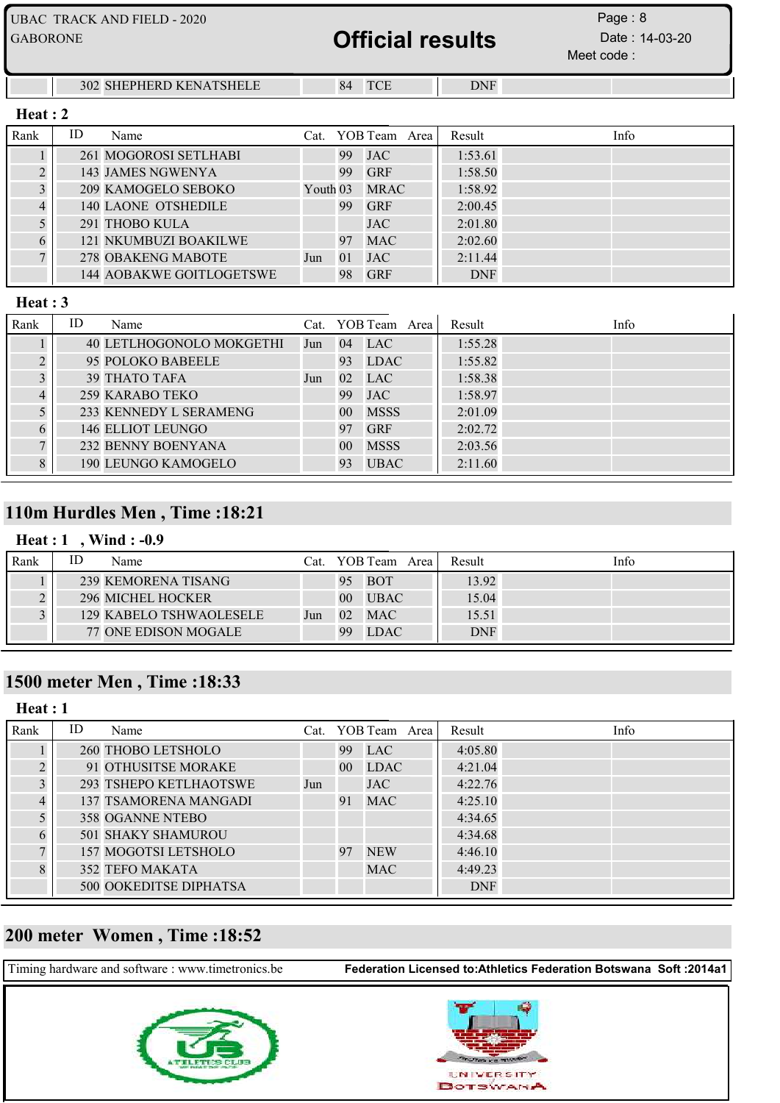| <b>GABORONE</b> |    | <b>UBAC TRACK AND FIELD - 2020</b> |                     |    | <b>Official results</b> |            | Page: $8$<br>Date: 14-03-20<br>Meet code: |
|-----------------|----|------------------------------------|---------------------|----|-------------------------|------------|-------------------------------------------|
|                 |    | <b>302 SHEPHERD KENATSHELE</b>     |                     | 84 | <b>TCE</b>              | <b>DNF</b> |                                           |
| Heat:2          |    |                                    |                     |    |                         |            |                                           |
| Rank            | ID | Name                               | Cat.                |    | YOB Team Area           | Result     | Info                                      |
|                 |    | 261 MOGOROSI SETLHABI              |                     | 99 | JAC                     | 1:53.61    |                                           |
|                 |    | 143 JAMES NGWENYA                  |                     | 99 | <b>GRF</b>              | 1:58.50    |                                           |
|                 |    | 209 KAMOGELO SEBOKO                | Youth <sub>03</sub> |    | <b>MRAC</b>             | 1:58.92    |                                           |
|                 |    | <b>140 LAONE OTSHEDILE</b>         |                     | 99 | <b>GRF</b>              | 2:00.45    |                                           |
|                 |    | 291 THOBO KULA                     |                     |    | <b>JAC</b>              | 2:01.80    |                                           |
| 6               |    | <b>121 NKUMBUZI BOAKILWE</b>       |                     | 97 | <b>MAC</b>              | 2:02.60    |                                           |

#### Heat : 3

| Rank | ID | Name                     |     |                 | Cat. YOB Team Area | Result  | Info |
|------|----|--------------------------|-----|-----------------|--------------------|---------|------|
|      |    | 40 LETLHOGONOLO MOKGETHI | Jun | 04              | LAC                | 1:55.28 |      |
|      |    | 95 POLOKO BABEELE        |     | 93              | <b>LDAC</b>        | 1:55.82 |      |
|      |    | <b>39 THATO TAFA</b>     | Jun | 02 <sub>z</sub> | <b>LAC</b>         | 1:58.38 |      |
|      |    | 259 KARABO TEKO          |     | 99              | <b>JAC</b>         | 1:58.97 |      |
|      |    | 233 KENNEDY L SERAMENG   |     | 00 <sup>1</sup> | <b>MSSS</b>        | 2:01.09 |      |
|      |    | 146 ELLIOT LEUNGO        |     | 97              | <b>GRF</b>         | 2:02.72 |      |
|      |    | 232 BENNY BOENYANA       |     | 0 <sup>0</sup>  | <b>MSSS</b>        | 2:03.56 |      |
| 8    |    | 190 LEUNGO KAMOGELO      |     | 93              | <b>UBAC</b>        | 2:11.60 |      |

 278 OBAKENG MABOTE Jun 01 JAC 2:11.44 144 AOBAKWE GOITLOGETSWE 98 GRF DNF

## 110m Hurdles Men , Time :18:21

## Heat : 1, Wind : -0.9

| Rank | ID | Name                     | Cat. |                 | YOB Team Area | Result     | Info |
|------|----|--------------------------|------|-----------------|---------------|------------|------|
|      |    | 239 KEMORENA TISANG      |      | 95              | BOT           | 13.92      |      |
|      |    | <b>296 MICHEL HOCKER</b> |      | 00 <sup>°</sup> | <b>UBAC</b>   | 15.04      |      |
|      |    | 129 KABELO TSHWAOLESELE  | Jun  | 02              | <b>MAC</b>    | 15.51      |      |
|      |    | 77 ONE EDISON MOGALE     |      | 99              | <b>LDAC</b>   | <b>DNF</b> |      |

## 1500 meter Men , Time :18:33

| Heat:1    |    |                               |     |                 |                    |            |      |
|-----------|----|-------------------------------|-----|-----------------|--------------------|------------|------|
| Rank      | ID | Name                          |     |                 | Cat. YOB Team Area | Result     | Info |
|           |    | 260 THOBO LETSHOLO            |     | 99              | <b>LAC</b>         | 4:05.80    |      |
| $\bigcap$ |    | 91 OTHUSITSE MORAKE           |     | 00 <sup>1</sup> | <b>LDAC</b>        | 4:21.04    |      |
| 3         |    | <b>293 TSHEPO KETLHAOTSWE</b> | Jun |                 | <b>JAC</b>         | 4:22.76    |      |
|           |    | <b>137 TSAMORENA MANGADI</b>  |     | 91              | <b>MAC</b>         | 4:25.10    |      |
|           |    | <b>358 OGANNE NTEBO</b>       |     |                 |                    | 4:34.65    |      |
| 6         |    | <b>501 SHAKY SHAMUROU</b>     |     |                 |                    | 4:34.68    |      |
|           |    | 157 MOGOTSI LETSHOLO          |     | 97              | <b>NEW</b>         | 4:46.10    |      |
| 8         |    | 352 TEFO MAKATA               |     |                 | <b>MAC</b>         | 4:49.23    |      |
|           |    | <b>500 OOKEDITSE DIPHATSA</b> |     |                 |                    | <b>DNF</b> |      |

## 200 meter Women , Time :18:52

| Timing hardware and software : www.timetronics.be | <b>Federation Licensed to:Athletics Federation Botswana Soft: 2014a1</b> |
|---------------------------------------------------|--------------------------------------------------------------------------|
|                                                   |                                                                          |



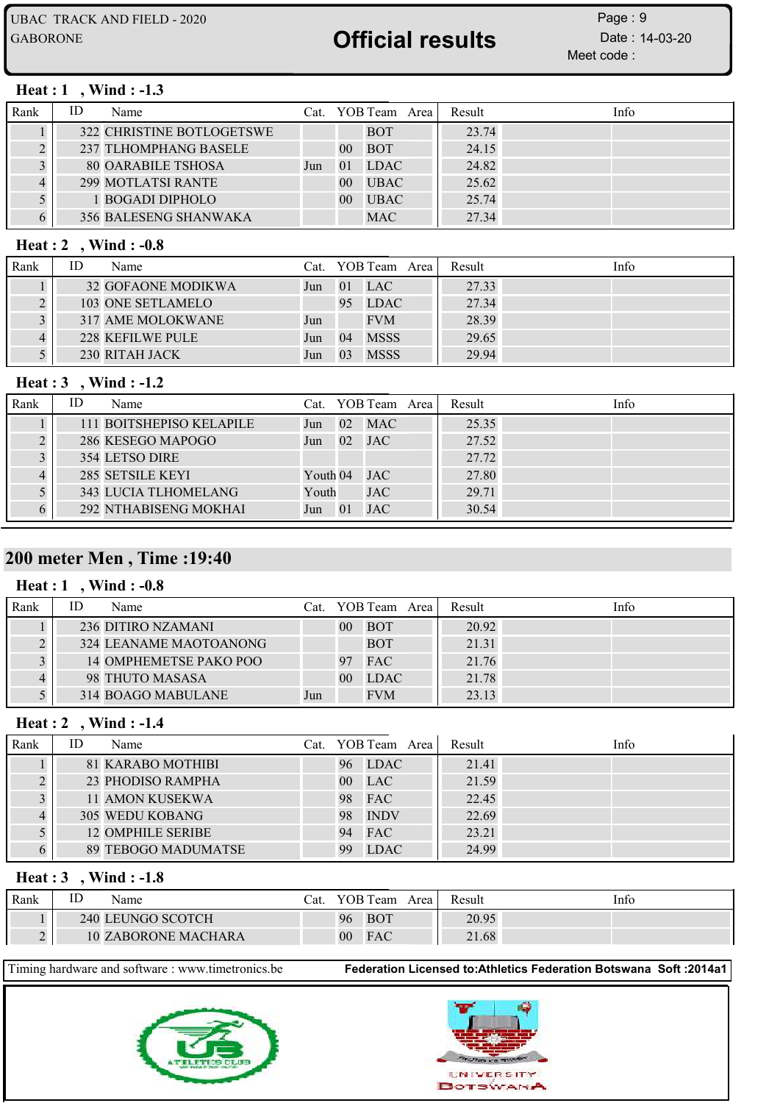Meet code : Page: 9

#### Heat : 1, Wind : -1.3

| Rank | ID | Name                         |     |                | Cat. YOB Team Area | Result | Info |
|------|----|------------------------------|-----|----------------|--------------------|--------|------|
|      |    | 322 CHRISTINE BOTLOGETSWE    |     |                | <b>BOT</b>         | 23.74  |      |
|      |    | 237 TLHOMPHANG BASELE        |     | $00\,$         | <b>BOT</b>         | 24.15  |      |
|      |    | <b>80 OARABILE TSHOSA</b>    | Jun | 01             | <b>LDAC</b>        | 24.82  |      |
|      |    | <b>299 MOTLATSI RANTE</b>    |     | $00\,$         | <b>UBAC</b>        | 25.62  |      |
|      |    | 1 BOGADI DIPHOLO             |     | 0 <sup>0</sup> | <b>UBAC</b>        | 25.74  |      |
|      |    | <b>356 BALESENG SHANWAKA</b> |     |                | <b>MAC</b>         | 27.34  |      |

#### Heat : 2 , Wind : -0.8

| Rank | ID | Name               |     |                 | Cat. YOB Team Area I | Result | Info |
|------|----|--------------------|-----|-----------------|----------------------|--------|------|
|      |    | 32 GOFAONE MODIKWA | Jun | $\overline{01}$ | <b>LAC</b>           | 27.33  |      |
|      |    | 103 ONE SETLAMELO  |     | 95              | <b>LDAC</b>          | 27.34  |      |
|      |    | 317 AME MOLOKWANE  | Jun |                 | <b>FVM</b>           | 28.39  |      |
|      |    | 228 KEFILWE PULE   | Jun | 04              | <b>MSSS</b>          | 29.65  |      |
|      |    | 230 RITAH JACK     | Jun | 03              | <b>MSSS</b>          | 29.94  |      |

#### Heat : 3 , Wind : -1.2

| Rank | ID | Name                        |            |    | Cat. YOB Team Area | Result | Info |
|------|----|-----------------------------|------------|----|--------------------|--------|------|
|      |    | 111 BOITSHEPISO KELAPILE    | Jun        |    | 02 MAC             | 25.35  |      |
|      |    | 286 KESEGO MAPOGO           | Jun        | 02 | <b>JAC</b>         | 27.52  |      |
|      |    | 354 LETSO DIRE              |            |    |                    | 27.72  |      |
|      |    | 285 SETSILE KEYI            | Youth $04$ |    | <b>JAC</b>         | 27.80  |      |
|      |    | <b>343 LUCIA TLHOMELANG</b> | Youth      |    | <b>JAC</b>         | 29.71  |      |
|      |    | 292 NTHABISENG MOKHAI       | Jun        | 01 | <b>JAC</b>         | 30.54  |      |

### 200 meter Men , Time :19:40

#### Heat : 1 , Wind : -0.8

| Rank | ID | Name                      | Cat. |                | YOB Team Area I | Result | Info |
|------|----|---------------------------|------|----------------|-----------------|--------|------|
|      |    | <b>236 DITIRO NZAMANI</b> |      | 00             | <b>BOT</b>      | 20.92  |      |
|      |    | 324 LEANAME MAOTOANONG    |      |                | <b>BOT</b>      | 21.31  |      |
|      |    | 14 OMPHEMETSE PAKO POO    |      | Q <sub>7</sub> | <b>FAC</b>      | 21.76  |      |
|      |    | 98 THUTO MASASA           |      | 0 <sup>0</sup> | <b>LDAC</b>     | 21.78  |      |
|      |    | 314 BOAGO MABULANE        | Jun  |                | <b>FVM</b>      | 23.13  |      |

#### Heat : 2 , Wind : -1.4

| Rank | ID | Name                |    | Cat. YOB Team Area | Result | Info |
|------|----|---------------------|----|--------------------|--------|------|
|      |    | 81 KARABO MOTHIBI   | 96 | <b>LDAC</b>        | 21.41  |      |
|      |    | 23 PHODISO RAMPHA   | 00 | <b>LAC</b>         | 21.59  |      |
|      |    | 11 AMON KUSEKWA     | 98 | <b>FAC</b>         | 22.45  |      |
|      |    | 305 WEDU KOBANG     | 98 | <b>INDV</b>        | 22.69  |      |
|      |    | 12 OMPHILE SERIBE   | 94 | <b>FAC</b>         | 23.21  |      |
|      |    | 89 TEBOGO MADUMATSE | 99 | <b>LDAC</b>        | 24.99  |      |

#### Heat : 3 , Wind : -1.8

| Rank | ш | Name                       | ∑at. |                | YOB Team   | Area | Result | Info |
|------|---|----------------------------|------|----------------|------------|------|--------|------|
|      |   | 240 LEUNGO SCOTCH          |      | 96             | <b>BOT</b> |      | 20.95  |      |
|      |   | <b>10 ZABORONE MACHARA</b> |      | 0 <sup>0</sup> | FAC        |      | 21.68  |      |



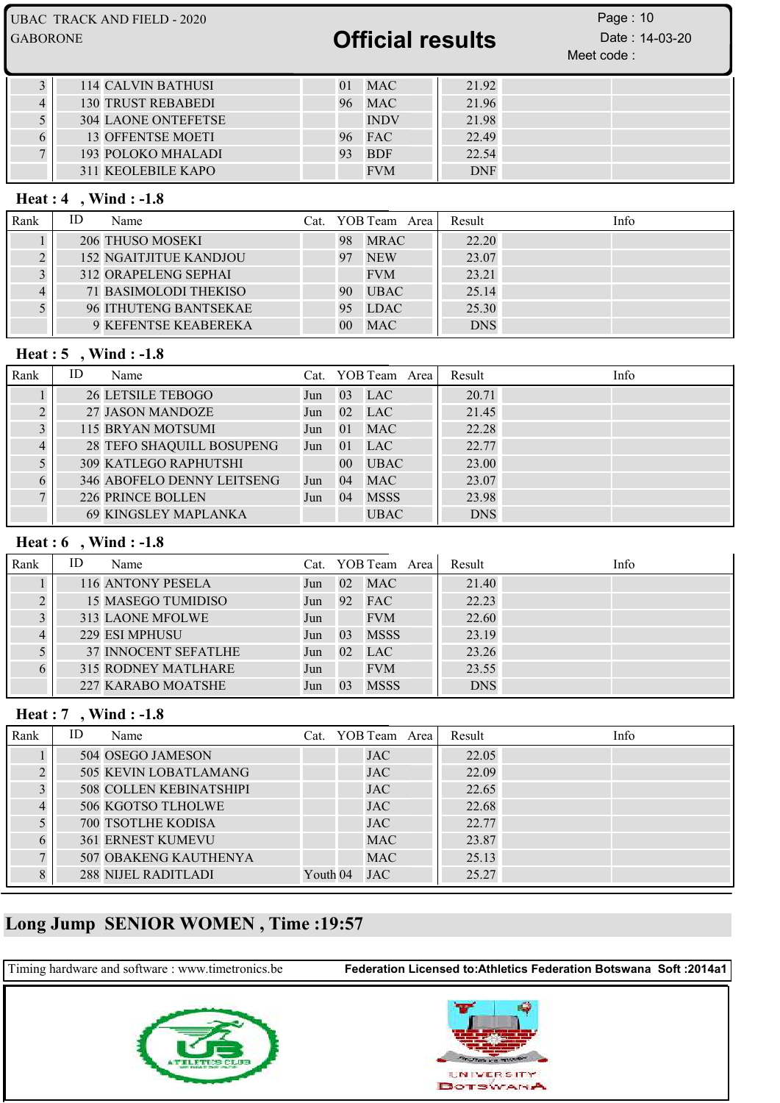| UBAC TRACK AND FIELD - 2020 | Page: $10$     |
|-----------------------------|----------------|
| <b>Official results</b>     | Date: 14-03-20 |
| <b>GABORONE</b>             | Meet code:     |

| 114 CALVIN BATHUSI         |        | <b>MAC</b>  | 21.92      |  |
|----------------------------|--------|-------------|------------|--|
| <b>130 TRUST REBABEDI</b>  | 96     | MAC         | 21.96      |  |
| <b>304 LAONE ONTEFETSE</b> |        | <b>INDV</b> | 21.98      |  |
| <b>13 OFFENTSE MOETI</b>   | 96 FAC |             | 22.49      |  |
| 193 POLOKO MHALADI         | 93     | <b>BDF</b>  | 22.54      |  |
| 311 KEOLEBILE KAPO         |        | <b>FVM</b>  | <b>DNF</b> |  |

#### Heat : 4 , Wind : -1.8

| Rank | ID | Name                          |        | Cat. YOB Team Area l | Result     | Info |
|------|----|-------------------------------|--------|----------------------|------------|------|
|      |    | 206 THUSO MOSEKI              | 98     | <b>MRAC</b>          | 22.20      |      |
|      |    | <b>152 NGAITJITUE KANDJOU</b> | 97     | <b>NEW</b>           | 23.07      |      |
|      |    | 312 ORAPELENG SEPHAI          |        | <b>FVM</b>           | 23.21      |      |
|      |    | <b>71 BASIMOLODI THEKISO</b>  | 90     | <b>UBAC</b>          | 25.14      |      |
|      |    | 96 ITHUTENG BANTSEKAE         | 95     | <b>LDAC</b>          | 25.30      |      |
|      |    | 9 KEFENTSE KEABEREKA          | $00\,$ | <b>MAC</b>           | <b>DNS</b> |      |

#### Heat : 5 , Wind : -1.8

| Rank | ID | Name                             |     |                 | Cat. YOB Team Area | Result     | Info |
|------|----|----------------------------------|-----|-----------------|--------------------|------------|------|
|      |    | <b>26 LETSILE TEBOGO</b>         | Jun | 0 <sup>3</sup>  | <b>LAC</b>         | 20.71      |      |
|      |    | 27 JASON MANDOZE                 | Jun | 02              | LAC                | 21.45      |      |
|      |    | 115 BRYAN MOTSUMI                | Jun | -01             | <b>MAC</b>         | 22.28      |      |
|      |    | <b>28 TEFO SHAQUILL BOSUPENG</b> | Jun | $\vert$ 01      | <b>LAC</b>         | 22.77      |      |
|      |    | <b>309 KATLEGO RAPHUTSHI</b>     |     | 00 <sup>1</sup> | <b>UBAC</b>        | 23.00      |      |
|      |    | 346 ABOFELO DENNY LEITSENG       | Jun | 04              | <b>MAC</b>         | 23.07      |      |
|      |    | <b>226 PRINCE BOLLEN</b>         | Jun | 04              | <b>MSSS</b>        | 23.98      |      |
|      |    | <b>69 KINGSLEY MAPLANKA</b>      |     |                 | <b>UBAC</b>        | <b>DNS</b> |      |

### Heat : 6 , Wind : -1.8

| Rank | ID | Name                        |     |                | Cat. YOB Team Area | Result     | Info |
|------|----|-----------------------------|-----|----------------|--------------------|------------|------|
|      |    | 116 ANTONY PESELA           | Jun | 02             | <b>MAC</b>         | 21.40      |      |
|      |    | 15 MASEGO TUMIDISO          | Jun | 92             | <b>FAC</b>         | 22.23      |      |
|      |    | 313 LAONE MFOLWE            | Jun |                | <b>FVM</b>         | 22.60      |      |
|      |    | 229 ESI MPHUSU              | Jun | 0 <sub>3</sub> | <b>MSSS</b>        | 23.19      |      |
|      |    | <b>37 INNOCENT SEFATLHE</b> | Jun | 02             | <b>LAC</b>         | 23.26      |      |
|      |    | <b>315 RODNEY MATLHARE</b>  | Jun |                | <b>FVM</b>         | 23.55      |      |
|      |    | 227 KARABO MOATSHE          | Jun | 03             | <b>MSSS</b>        | <b>DNS</b> |      |

### Heat : 7 , Wind : -1.8

| Rank | ID | Name                           |          | Cat. YOB Team Area | Result | Info |
|------|----|--------------------------------|----------|--------------------|--------|------|
|      |    | 504 OSEGO JAMESON              |          | <b>JAC</b>         | 22.05  |      |
|      |    | 505 KEVIN LOBATLAMANG          |          | <b>JAC</b>         | 22.09  |      |
|      |    | <b>508 COLLEN KEBINATSHIPI</b> |          | <b>JAC</b>         | 22.65  |      |
|      |    | 506 KGOTSO TLHOLWE             |          | <b>JAC</b>         | 22.68  |      |
|      |    | <b>700 TSOTLHE KODISA</b>      |          | <b>JAC</b>         | 22.77  |      |
|      |    | <b>361 ERNEST KUMEVU</b>       |          | <b>MAC</b>         | 23.87  |      |
|      |    | 507 OBAKENG KAUTHENYA          |          | <b>MAC</b>         | 25.13  |      |
|      |    | 288 NIJEL RADITLADI            | Youth 04 | <b>JAC</b>         | 25.27  |      |

## Long Jump SENIOR WOMEN , Time :19:57

Timing hardware and software : www.timetronics.be Federation Licensed to:Athletics Federation Botswana Soft :2014a1

**UNIVERSITY BOTSWANA**